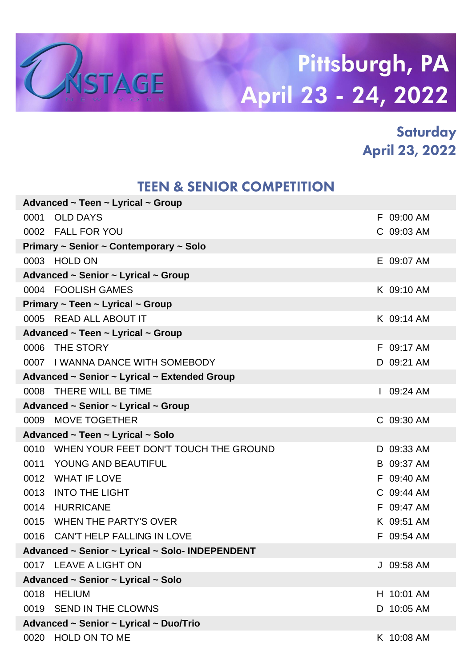

### **Saturday April 23, 2022**

#### **TEEN & SENIOR COMPETITION**

|      | Advanced $\sim$ Teen $\sim$ Lyrical $\sim$ Group |            |
|------|--------------------------------------------------|------------|
| 0001 | <b>OLD DAYS</b>                                  | F 09:00 AM |
|      | 0002 FALL FOR YOU                                | C 09:03 AM |
|      | Primary ~ Senior ~ Contemporary ~ Solo           |            |
|      | 0003 HOLD ON                                     | E 09:07 AM |
|      | Advanced ~ Senior ~ Lyrical ~ Group              |            |
|      | 0004 FOOLISH GAMES                               | K 09:10 AM |
|      | Primary $\sim$ Teen $\sim$ Lyrical $\sim$ Group  |            |
|      | 0005 READ ALL ABOUT IT                           | K 09:14 AM |
|      | Advanced ~ Teen ~ Lyrical ~ Group                |            |
|      | 0006 THE STORY                                   | F 09:17 AM |
|      | 0007 I WANNA DANCE WITH SOMEBODY                 | D 09:21 AM |
|      | Advanced ~ Senior ~ Lyrical ~ Extended Group     |            |
|      | 0008 THERE WILL BE TIME                          | 09:24 AM   |
|      | Advanced ~ Senior ~ Lyrical ~ Group              |            |
| 0009 | <b>MOVE TOGETHER</b>                             | C 09:30 AM |
|      | Advanced ~ Teen ~ Lyrical ~ Solo                 |            |
|      | 0010 WHEN YOUR FEET DON'T TOUCH THE GROUND       | D 09:33 AM |
|      | 0011 YOUNG AND BEAUTIFUL                         | B 09:37 AM |
| 0012 | <b>WHAT IF LOVE</b>                              | F 09:40 AM |
| 0013 | <b>INTO THE LIGHT</b>                            | C 09:44 AM |
| 0014 | <b>HURRICANE</b>                                 | F 09:47 AM |
|      | 0015 WHEN THE PARTY'S OVER                       | K 09:51 AM |
|      | 0016 CAN'T HELP FALLING IN LOVE                  | F 09:54 AM |
|      | Advanced ~ Senior ~ Lyrical ~ Solo- INDEPENDENT  |            |
|      | 0017 LEAVE A LIGHT ON                            | J 09:58 AM |
|      | Advanced ~ Senior ~ Lyrical ~ Solo               |            |
| 0018 | <b>HELIUM</b>                                    | H 10:01 AM |
|      | 0019 SEND IN THE CLOWNS                          | D 10:05 AM |
|      | Advanced ~ Senior ~ Lyrical ~ Duo/Trio           |            |
| 0020 | <b>HOLD ON TO ME</b>                             | K 10:08 AM |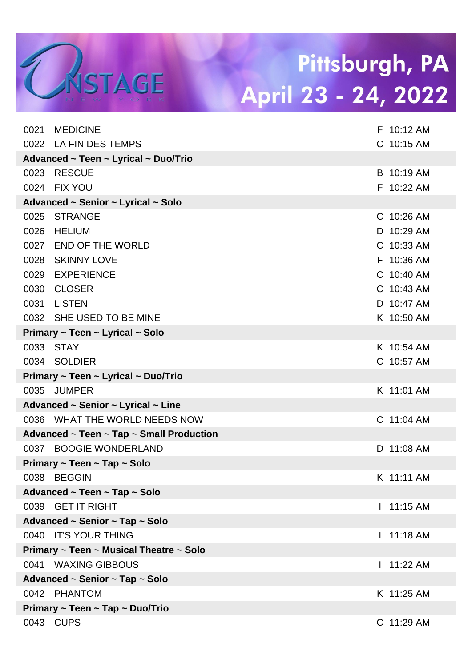| 0021 | <b>MEDICINE</b>                            |   | F 10:12 AM |
|------|--------------------------------------------|---|------------|
|      | 0022 LA FIN DES TEMPS                      |   | C 10:15 AM |
|      | Advanced ~ Teen ~ Lyrical ~ Duo/Trio       |   |            |
| 0023 | <b>RESCUE</b>                              |   | B 10:19 AM |
| 0024 | <b>FIX YOU</b>                             |   | F 10:22 AM |
|      | Advanced ~ Senior ~ Lyrical ~ Solo         |   |            |
| 0025 | <b>STRANGE</b>                             |   | C 10:26 AM |
| 0026 | <b>HELIUM</b>                              |   | D 10:29 AM |
| 0027 | <b>END OF THE WORLD</b>                    |   | C 10:33 AM |
| 0028 | <b>SKINNY LOVE</b>                         |   | F 10:36 AM |
| 0029 | <b>EXPERIENCE</b>                          |   | C 10:40 AM |
| 0030 | <b>CLOSER</b>                              |   | C 10:43 AM |
| 0031 | <b>LISTEN</b>                              |   | D 10:47 AM |
|      | 0032 SHE USED TO BE MINE                   |   | K 10:50 AM |
|      | Primary ~ Teen ~ Lyrical ~ Solo            |   |            |
| 0033 | STAY                                       |   | K 10:54 AM |
|      | 0034 SOLDIER                               |   | C 10:57 AM |
|      | Primary ~ Teen ~ Lyrical ~ Duo/Trio        |   |            |
|      | 0035 JUMPER                                |   | K 11:01 AM |
|      | Advanced ~ Senior ~ Lyrical ~ Line         |   |            |
|      | 0036 WHAT THE WORLD NEEDS NOW              |   | C 11:04 AM |
|      | Advanced ~ Teen ~ Tap ~ Small Production   |   |            |
|      | 0037 BOOGIE WONDERLAND                     |   | D 11:08 AM |
|      | Primary $\sim$ Teen $\sim$ Tap $\sim$ Solo |   |            |
|      | 0038 BEGGIN                                |   | K 11:11 AM |
|      | Advanced ~ Teen ~ Tap ~ Solo               |   |            |
|      | 0039 GET IT RIGHT                          | L | 11:15 AM   |
|      | Advanced ~ Senior ~ Tap ~ Solo             |   |            |
|      | 0040 IT'S YOUR THING                       |   | 11:18 AM   |
|      | Primary ~ Teen ~ Musical Theatre ~ Solo    |   |            |
|      | 0041 WAXING GIBBOUS                        |   | 11:22 AM   |
|      | Advanced ~ Senior ~ Tap ~ Solo             |   |            |
|      | 0042 PHANTOM                               |   | K 11:25 AM |
|      | Primary ~ Teen ~ Tap ~ Duo/Trio            |   |            |
|      | 0043 CUPS                                  |   | C 11:29 AM |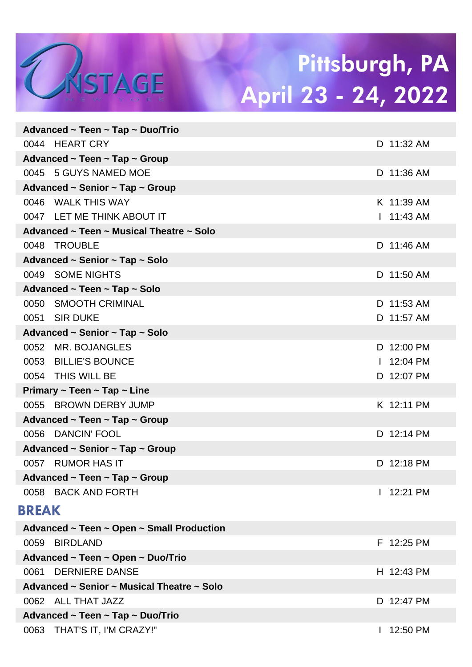| Advanced $\sim$ I een $\sim$ I ap $\sim$ Duo/I rio |                          |
|----------------------------------------------------|--------------------------|
| 0044 HEART CRY                                     | D 11:32 AM               |
| Advanced ~ Teen ~ Tap ~ Group                      |                          |
| 0045 5 GUYS NAMED MOE                              | D 11:36 AM               |
| Advanced $\sim$ Senior $\sim$ Tap $\sim$ Group     |                          |
| 0046 WALK THIS WAY                                 | K 11:39 AM               |
| 0047 LET ME THINK ABOUT IT                         | $11:43$ AM               |
| Advanced ~ Teen ~ Musical Theatre ~ Solo           |                          |
| 0048 TROUBLE                                       | D 11:46 AM               |
| Advanced ~ Senior ~ Tap ~ Solo                     |                          |
| 0049 SOME NIGHTS                                   | D 11:50 AM               |
| Advanced ~ Teen ~ Tap ~ Solo                       |                          |
| 0050 SMOOTH CRIMINAL                               | D 11:53 AM               |
| 0051 SIR DUKE                                      | D 11:57 AM               |
| Advanced ~ Senior ~ Tap ~ Solo                     |                          |
| 0052 MR. BOJANGLES                                 | D 12:00 PM               |
| 0053 BILLIE'S BOUNCE                               | $1.12:04 \text{ PM}$     |
| 0054 THIS WILL BE                                  | D 12:07 PM               |
| Primary $\sim$ Teen $\sim$ Tap $\sim$ Line         |                          |
| 0055 BROWN DERBY JUMP                              | K 12:11 PM               |
| Advanced $\sim$ Teen $\sim$ Tap $\sim$ Group       |                          |
| 0056<br><b>DANCIN' FOOL</b>                        | D 12:14 PM               |
| Advanced $\sim$ Senior $\sim$ Tap $\sim$ Group     |                          |
| 0057 RUMOR HAS IT                                  | D 12:18 PM               |
| Advanced $\sim$ Teen $\sim$ Tap $\sim$ Group       |                          |
| 0058 BACK AND FORTH                                | 12:21 PM                 |
| <b>BREAK</b>                                       |                          |
| Advanced ~ Teen ~ Open ~ Small Production          |                          |
| <b>BIRDLAND</b><br>0059                            | F 12:25 PM               |
| Advanced ~ Teen ~ Open ~ Duo/Trio                  |                          |
| 0061 DERNIERE DANSE                                | H 12:43 PM               |
| Advanced ~ Senior ~ Musical Theatre ~ Solo         |                          |
| 0062 ALL THAT JAZZ                                 | D 12:47 PM               |
| Advanced ~ Teen ~ Tap ~ Duo/Trio                   |                          |
| 0063 THAT'S IT, I'M CRAZY!"                        | 12:50 PM<br>$\mathbf{I}$ |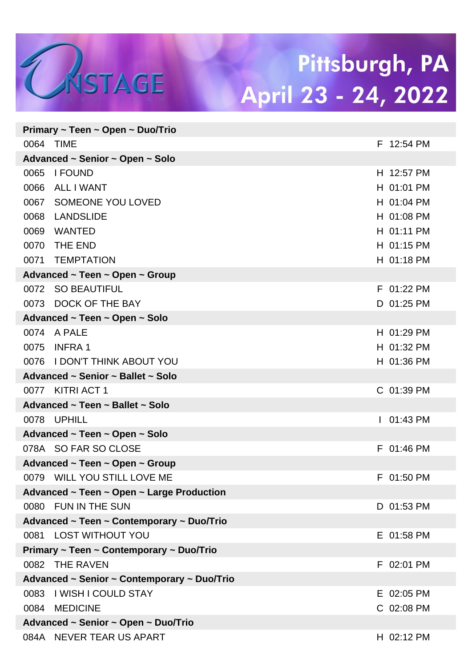|           | Primary ~ Teen ~ Open ~ Duo/Trio            |             |
|-----------|---------------------------------------------|-------------|
| 0064 TIME |                                             | F 12:54 PM  |
|           | Advanced ~ Senior ~ Open ~ Solo             |             |
|           | 0065 I FOUND                                | H 12:57 PM  |
| 0066      | <b>ALL I WANT</b>                           | H 01:01 PM  |
| 0067      | <b>SOMEONE YOU LOVED</b>                    | H 01:04 PM  |
| 0068      | <b>LANDSLIDE</b>                            | H 01:08 PM  |
| 0069      | <b>WANTED</b>                               | H 01:11 PM  |
| 0070      | THE END                                     | H 01:15 PM  |
|           | 0071 TEMPTATION                             | H 01:18 PM  |
|           | Advanced ~ Teen ~ Open ~ Group              |             |
|           | 0072 SO BEAUTIFUL                           | F 01:22 PM  |
| 0073      | DOCK OF THE BAY                             | D 01:25 PM  |
|           | Advanced ~ Teen ~ Open ~ Solo               |             |
|           | 0074 A PALE                                 | H 01:29 PM  |
| 0075      | <b>INFRA1</b>                               | H 01:32 PM  |
|           | 0076 I DON'T THINK ABOUT YOU                | H 01:36 PM  |
|           | Advanced ~ Senior ~ Ballet ~ Solo           |             |
|           | 0077 KITRI ACT 1                            | C 01:39 PM  |
|           | Advanced ~ Teen ~ Ballet ~ Solo             |             |
|           | 0078 UPHILL                                 | $101:43$ PM |
|           | Advanced ~ Teen ~ Open ~ Solo               |             |
|           | 078A SO FAR SO CLOSE                        | F 01:46 PM  |
|           | Advanced ~ Teen ~ Open ~ Group              |             |
|           | 0079 WILL YOU STILL LOVE ME                 | F 01:50 PM  |
|           | Advanced ~ Teen ~ Open ~ Large Production   |             |
|           | 0080 FUN IN THE SUN                         | D 01:53 PM  |
|           | Advanced ~ Teen ~ Contemporary ~ Duo/Trio   |             |
|           | 0081 LOST WITHOUT YOU                       | E 01:58 PM  |
|           | Primary ~ Teen ~ Contemporary ~ Duo/Trio    |             |
|           | 0082 THE RAVEN                              | F 02:01 PM  |
|           | Advanced ~ Senior ~ Contemporary ~ Duo/Trio |             |
|           | 0083   WISH I COULD STAY                    | E 02:05 PM  |
|           | 0084 MEDICINE                               | C 02:08 PM  |
|           | Advanced ~ Senior ~ Open ~ Duo/Trio         |             |
|           | 084A NEVER TEAR US APART                    | H 02:12 PM  |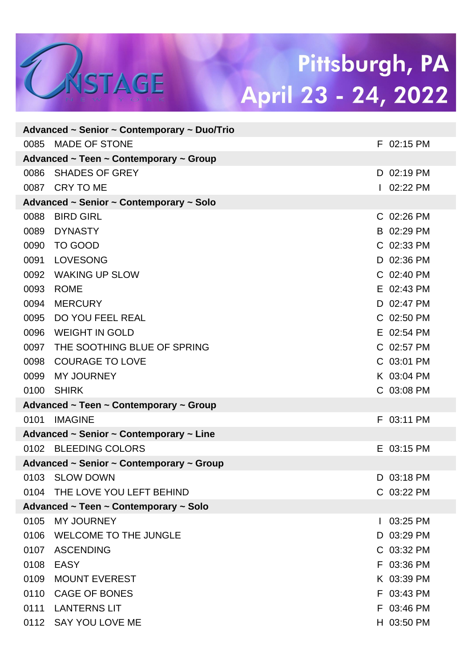|      | Advanced ~ Senior ~ Contemporary ~ Duo/Trio |            |
|------|---------------------------------------------|------------|
| 0085 | <b>MADE OF STONE</b>                        | F 02:15 PM |
|      | Advanced ~ Teen ~ Contemporary ~ Group      |            |
| 0086 | <b>SHADES OF GREY</b>                       | D 02:19 PM |
| 0087 | <b>CRY TO ME</b>                            | 02:22 PM   |
|      | Advanced ~ Senior ~ Contemporary ~ Solo     |            |
| 0088 | <b>BIRD GIRL</b>                            | C 02:26 PM |
| 0089 | <b>DYNASTY</b>                              | B 02:29 PM |
| 0090 | TO GOOD                                     | C 02:33 PM |
| 0091 | <b>LOVESONG</b>                             | D 02:36 PM |
| 0092 | <b>WAKING UP SLOW</b>                       | C 02:40 PM |
| 0093 | <b>ROME</b>                                 | E 02:43 PM |
| 0094 | <b>MERCURY</b>                              | D 02:47 PM |
| 0095 | DO YOU FEEL REAL                            | C 02:50 PM |
| 0096 | <b>WEIGHT IN GOLD</b>                       | E 02:54 PM |
| 0097 | THE SOOTHING BLUE OF SPRING                 | C 02:57 PM |
| 0098 | <b>COURAGE TO LOVE</b>                      | C 03:01 PM |
| 0099 | <b>MY JOURNEY</b>                           | K 03:04 PM |
| 0100 | <b>SHIRK</b>                                | C 03:08 PM |
|      | Advanced ~ Teen ~ Contemporary ~ Group      |            |
| 0101 | <b>IMAGINE</b>                              | F 03:11 PM |
|      | Advanced ~ Senior ~ Contemporary ~ Line     |            |
|      | 0102 BLEEDING COLORS                        | E 03:15 PM |
|      | Advanced ~ Senior ~ Contemporary ~ Group    |            |
| 0103 | <b>SLOW DOWN</b>                            | D 03:18 PM |
|      | 0104 THE LOVE YOU LEFT BEHIND               | C 03:22 PM |
|      | Advanced ~ Teen ~ Contemporary ~ Solo       |            |
| 0105 | MY JOURNEY                                  | 03:25 PM   |
| 0106 | <b>WELCOME TO THE JUNGLE</b>                | D 03:29 PM |
| 0107 | <b>ASCENDING</b>                            | C 03:32 PM |
| 0108 | <b>EASY</b>                                 | F 03:36 PM |
| 0109 | <b>MOUNT EVEREST</b>                        | K 03:39 PM |
| 0110 | <b>CAGE OF BONES</b>                        | F 03:43 PM |
| 0111 | <b>LANTERNS LIT</b>                         | F 03:46 PM |
|      | 0112 SAY YOU LOVE ME                        | H 03:50 PM |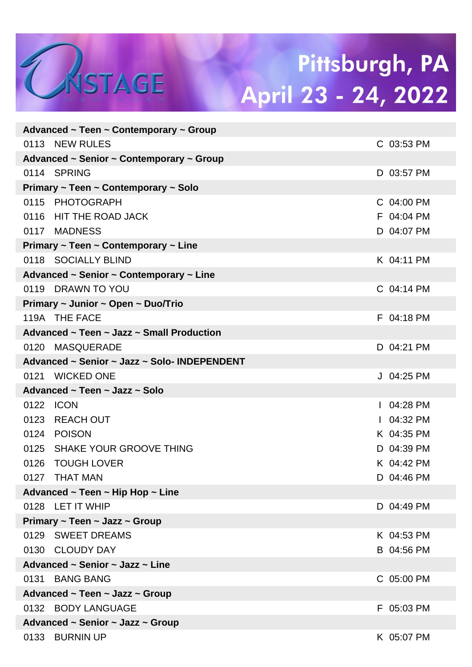|      | Advanced $\sim$ Teen $\sim$ Contemporary $\sim$ Group |             |
|------|-------------------------------------------------------|-------------|
|      | 0113 NEW RULES                                        | C 03:53 PM  |
|      | Advanced ~ Senior ~ Contemporary ~ Group              |             |
|      | 0114 SPRING                                           | D 03:57 PM  |
|      | Primary ~ Teen ~ Contemporary ~ Solo                  |             |
|      | 0115 PHOTOGRAPH                                       | C 04:00 PM  |
|      | 0116 HIT THE ROAD JACK                                | F 04:04 PM  |
|      | 0117 MADNESS                                          | D 04:07 PM  |
|      | Primary ~ Teen ~ Contemporary ~ Line                  |             |
|      | 0118 SOCIALLY BLIND                                   | K 04:11 PM  |
|      | Advanced ~ Senior ~ Contemporary ~ Line               |             |
|      | 0119 DRAWN TO YOU                                     | C 04:14 PM  |
|      | Primary ~ Junior ~ Open ~ Duo/Trio                    |             |
|      | 119A THE FACE                                         | F 04:18 PM  |
|      | Advanced ~ Teen ~ Jazz ~ Small Production             |             |
|      | 0120 MASQUERADE                                       | D 04:21 PM  |
|      | Advanced ~ Senior ~ Jazz ~ Solo- INDEPENDENT          |             |
|      | 0121 WICKED ONE                                       | J 04:25 PM  |
|      | Advanced ~ Teen ~ Jazz ~ Solo                         |             |
| 0122 | <b>ICON</b>                                           | $104:28$ PM |
|      | 0123 REACH OUT                                        | $104:32$ PM |
|      | 0124 POISON                                           | K 04:35 PM  |
|      | 0125 SHAKE YOUR GROOVE THING                          | D 04:39 PM  |
|      | 0126 TOUGH LOVER                                      | K 04:42 PM  |
|      | 0127 THAT MAN                                         | D 04:46 PM  |
|      | Advanced ~ Teen ~ Hip Hop ~ Line                      |             |
|      | 0128 LET IT WHIP                                      | D 04:49 PM  |
|      | Primary ~ Teen ~ Jazz ~ Group                         |             |
|      | 0129 SWEET DREAMS                                     | K 04:53 PM  |
|      | 0130 CLOUDY DAY                                       | B 04:56 PM  |
|      | Advanced ~ Senior ~ Jazz ~ Line                       |             |
| 0131 | <b>BANG BANG</b>                                      | C 05:00 PM  |
|      | Advanced ~ Teen ~ Jazz ~ Group                        |             |
|      | 0132 BODY LANGUAGE                                    | F 05:03 PM  |
|      | Advanced ~ Senior ~ Jazz ~ Group                      |             |
| 0133 | <b>BURNIN UP</b>                                      | K 05:07 PM  |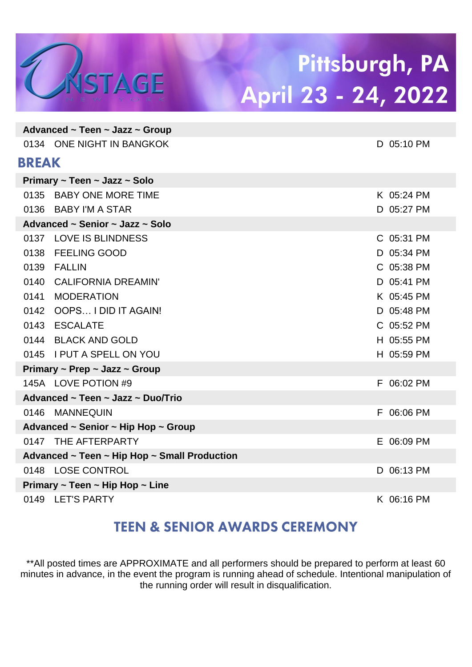

|              | Advanced $\sim$ Teen $\sim$ Jazz $\sim$ Group |            |
|--------------|-----------------------------------------------|------------|
|              | 0134 ONE NIGHT IN BANGKOK                     | D 05:10 PM |
| <b>BREAK</b> |                                               |            |
|              | Primary ~ Teen ~ Jazz ~ Solo                  |            |
|              | 0135 BABY ONE MORE TIME                       | K 05:24 PM |
|              | 0136 BABY I'M A STAR                          | D 05:27 PM |
|              | Advanced ~ Senior ~ Jazz ~ Solo               |            |
|              | 0137 LOVE IS BLINDNESS                        | C 05:31 PM |
| 0138         | <b>FEELING GOOD</b>                           | D 05:34 PM |
| 0139         | <b>FALLIN</b>                                 | C 05:38 PM |
| 0140         | <b>CALIFORNIA DREAMIN'</b>                    | D 05:41 PM |
| 0141         | <b>MODERATION</b>                             | K 05:45 PM |
|              | 0142 OOPS I DID IT AGAIN!                     | D 05:48 PM |
|              | 0143 ESCALATE                                 | C 05:52 PM |
|              | 0144 BLACK AND GOLD                           | H 05:55 PM |
|              | 0145 I PUT A SPELL ON YOU                     | H 05:59 PM |
|              | Primary ~ Prep ~ Jazz ~ Group                 |            |
|              | 145A LOVE POTION #9                           | F 06:02 PM |
|              | Advanced ~ Teen ~ Jazz ~ Duo/Trio             |            |
|              | 0146 MANNEQUIN                                | F 06:06 PM |
|              | Advanced ~ Senior ~ Hip Hop ~ Group           |            |
|              | 0147 THE AFTERPARTY                           | E 06:09 PM |
|              | Advanced ~ Teen ~ Hip Hop ~ Small Production  |            |
|              | 0148 LOSE CONTROL                             | D 06:13 PM |
|              | Primary ~ Teen ~ Hip Hop ~ Line               |            |
|              | 0149 LET'S PARTY                              | K 06:16 PM |

### **TEEN & SENIOR AWARDS CEREMONY**

\*\*All posted times are APPROXIMATE and all performers should be prepared to perform at least 60 minutes in advance, in the event the program is running ahead of schedule. Intentional manipulation of the running order will result in disqualification.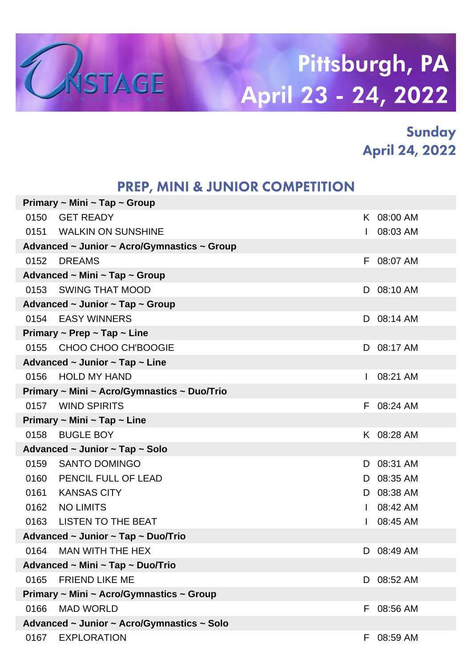

### Sunday **April 24, 2022**

#### PREP, MINI & JUNIOR COMPETITION

|                                  | Primary ~ Mini ~ Tap ~ Group                   |              |            |  |  |
|----------------------------------|------------------------------------------------|--------------|------------|--|--|
| 0150                             | <b>GET READY</b>                               |              | K 08:00 AM |  |  |
|                                  | 0151 WALKIN ON SUNSHINE                        | $\mathbf{L}$ | 08:03 AM   |  |  |
|                                  | Advanced ~ Junior ~ Acro/Gymnastics ~ Group    |              |            |  |  |
| 0152                             | <b>DREAMS</b>                                  |              | F 08:07 AM |  |  |
|                                  | Advanced ~ Mini ~ Tap ~ Group                  |              |            |  |  |
| 0153                             | SWING THAT MOOD                                |              | D 08:10 AM |  |  |
|                                  | Advanced $\sim$ Junior $\sim$ Tap $\sim$ Group |              |            |  |  |
| 0154                             | <b>EASY WINNERS</b>                            |              | D 08:14 AM |  |  |
|                                  | Primary $\sim$ Prep $\sim$ Tap $\sim$ Line     |              |            |  |  |
| 0155                             | CHOO CHOO CH'BOOGIE                            |              | D 08:17 AM |  |  |
|                                  | Advanced $\sim$ Junior $\sim$ Tap $\sim$ Line  |              |            |  |  |
| 0156                             | <b>HOLD MY HAND</b>                            |              | 08:21 AM   |  |  |
|                                  | Primary ~ Mini ~ Acro/Gymnastics ~ Duo/Trio    |              |            |  |  |
| 0157                             | <b>WIND SPIRITS</b>                            |              | F 08:24 AM |  |  |
|                                  | Primary ~ Mini ~ Tap ~ Line                    |              |            |  |  |
| 0158                             | <b>BUGLE BOY</b>                               |              | K 08:28 AM |  |  |
|                                  | Advanced ~ Junior ~ Tap ~ Solo                 |              |            |  |  |
| 0159                             | SANTO DOMINGO                                  |              | D 08:31 AM |  |  |
| 0160                             | PENCIL FULL OF LEAD                            |              | D 08:35 AM |  |  |
| 0161                             | <b>KANSAS CITY</b>                             |              | D 08:38 AM |  |  |
| 0162                             | <b>NO LIMITS</b>                               |              | 08:42 AM   |  |  |
| 0163                             | <b>LISTEN TO THE BEAT</b>                      |              | 08:45 AM   |  |  |
|                                  | Advanced ~ Junior ~ Tap ~ Duo/Trio             |              |            |  |  |
| 0164                             | MAN WITH THE HEX                               | D            | 08:49 AM   |  |  |
| Advanced ~ Mini ~ Tap ~ Duo/Trio |                                                |              |            |  |  |
| 0165                             | <b>FRIEND LIKE ME</b>                          |              | D 08:52 AM |  |  |
|                                  | Primary ~ Mini ~ Acro/Gymnastics ~ Group       |              |            |  |  |
| 0166                             | <b>MAD WORLD</b>                               | F            | 08:56 AM   |  |  |
|                                  | Advanced ~ Junior ~ Acro/Gymnastics ~ Solo     |              |            |  |  |
| 0167                             | <b>EXPLORATION</b>                             | Н.           | 08:59 AM   |  |  |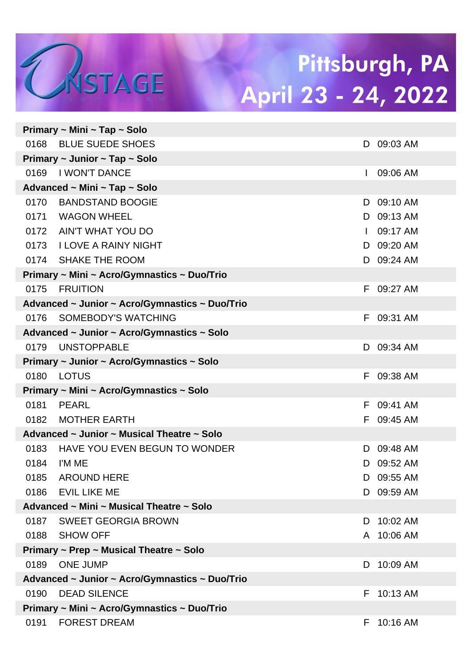|      | Primary ~ Mini ~ Tap ~ Solo                    |              |            |
|------|------------------------------------------------|--------------|------------|
|      | 0168 BLUE SUEDE SHOES                          |              | D 09:03 AM |
|      | Primary ~ Junior ~ Tap ~ Solo                  |              |            |
| 0169 | I WON'T DANCE                                  | $\mathbf{L}$ | 09:06 AM   |
|      | Advanced ~ Mini ~ Tap ~ Solo                   |              |            |
| 0170 | <b>BANDSTAND BOOGIE</b>                        |              | D 09:10 AM |
| 0171 | <b>WAGON WHEEL</b>                             |              | D 09:13 AM |
|      | 0172 AIN'T WHAT YOU DO                         | $\mathbf{L}$ | 09:17 AM   |
|      | 0173 I LOVE A RAINY NIGHT                      |              | D 09:20 AM |
|      | 0174 SHAKE THE ROOM                            |              | D 09:24 AM |
|      | Primary ~ Mini ~ Acro/Gymnastics ~ Duo/Trio    |              |            |
| 0175 | <b>FRUITION</b>                                |              | F 09:27 AM |
|      | Advanced ~ Junior ~ Acro/Gymnastics ~ Duo/Trio |              |            |
| 0176 | SOMEBODY'S WATCHING                            |              | F 09:31 AM |
|      | Advanced ~ Junior ~ Acro/Gymnastics ~ Solo     |              |            |
| 0179 | <b>UNSTOPPABLE</b>                             |              | D 09:34 AM |
|      | Primary ~ Junior ~ Acro/Gymnastics ~ Solo      |              |            |
| 0180 | LOTUS                                          |              | F 09:38 AM |
|      | Primary ~ Mini ~ Acro/Gymnastics ~ Solo        |              |            |
| 0181 | PEARL                                          |              | F 09:41 AM |
| 0182 | MOTHER EARTH                                   |              | F 09:45 AM |
|      | Advanced ~ Junior ~ Musical Theatre ~ Solo     |              |            |
| 0183 | HAVE YOU EVEN BEGUN TO WONDER                  | D.           | 09:48 AM   |
| 0184 | I'M ME                                         | D            | 09:52 AM   |
|      | 0185 AROUND HERE                               |              | D 09:55 AM |
| 0186 | <b>EVIL LIKE ME</b>                            |              | D 09:59 AM |
|      | Advanced ~ Mini ~ Musical Theatre ~ Solo       |              |            |
|      | 0187 SWEET GEORGIA BROWN                       | D            | 10:02 AM   |
|      | 0188 SHOW OFF                                  |              | A 10:06 AM |
|      | Primary ~ Prep ~ Musical Theatre ~ Solo        |              |            |
| 0189 | ONE JUMP                                       | D            | 10:09 AM   |
|      | Advanced ~ Junior ~ Acro/Gymnastics ~ Duo/Trio |              |            |
| 0190 | <b>DEAD SILENCE</b>                            | F.           | 10:13 AM   |
|      | Primary ~ Mini ~ Acro/Gymnastics ~ Duo/Trio    |              |            |
| 0191 | <b>FOREST DREAM</b>                            |              | F 10:16 AM |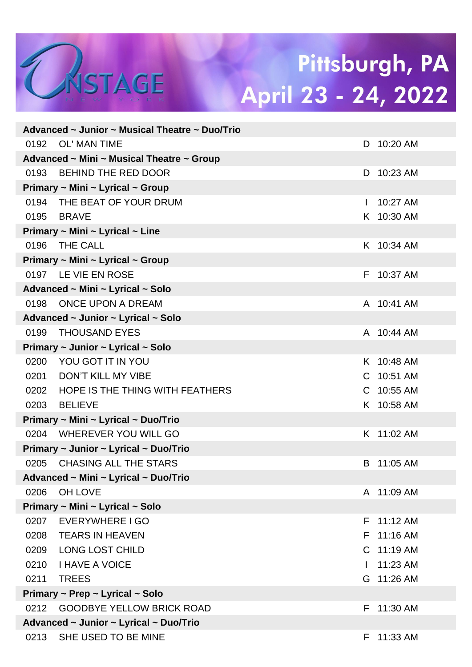|      | Advanced ~ Junior ~ Musical Theatre ~ Duo/Trio |              |            |
|------|------------------------------------------------|--------------|------------|
| 0192 | OL' MAN TIME                                   |              | D 10:20 AM |
|      | Advanced ~ Mini ~ Musical Theatre ~ Group      |              |            |
|      | 0193 BEHIND THE RED DOOR                       |              | D 10:23 AM |
|      | Primary ~ Mini ~ Lyrical ~ Group               |              |            |
|      | 0194 THE BEAT OF YOUR DRUM                     | $\mathbf{L}$ | 10:27 AM   |
| 0195 | <b>BRAVE</b>                                   |              | K 10:30 AM |
|      | Primary ~ Mini ~ Lyrical ~ Line                |              |            |
| 0196 | THE CALL                                       |              | K 10:34 AM |
|      | Primary ~ Mini ~ Lyrical ~ Group               |              |            |
|      | 0197 LE VIE EN ROSE                            |              | F 10:37 AM |
|      | Advanced ~ Mini ~ Lyrical ~ Solo               |              |            |
| 0198 | ONCE UPON A DREAM                              |              | A 10:41 AM |
|      | Advanced ~ Junior ~ Lyrical ~ Solo             |              |            |
| 0199 | <b>THOUSAND EYES</b>                           |              | A 10:44 AM |
|      | Primary ~ Junior ~ Lyrical ~ Solo              |              |            |
|      | 0200 YOU GOT IT IN YOU                         |              | K 10:48 AM |
| 0201 | DON'T KILL MY VIBE                             |              | C 10:51 AM |
| 0202 | HOPE IS THE THING WITH FEATHERS                |              | C 10:55 AM |
| 0203 | <b>BELIEVE</b>                                 |              | K 10:58 AM |
|      | Primary ~ Mini ~ Lyrical ~ Duo/Trio            |              |            |
|      | 0204 WHEREVER YOU WILL GO                      |              | K 11:02 AM |
|      | Primary ~ Junior ~ Lyrical ~ Duo/Trio          |              |            |
|      | 0205 CHASING ALL THE STARS                     |              | B 11:05 AM |
|      | Advanced ~ Mini ~ Lyrical ~ Duo/Trio           |              |            |
| 0206 | OH LOVE                                        |              | A 11:09 AM |
|      | Primary ~ Mini ~ Lyrical ~ Solo                |              |            |
| 0207 | EVERYWHERE I GO                                | F.           | $11:12$ AM |
| 0208 | <b>TEARS IN HEAVEN</b>                         | F.           | $11:16$ AM |
| 0209 | <b>LONG LOST CHILD</b>                         |              | C 11:19 AM |
| 0210 | <b>I HAVE A VOICE</b>                          | $\mathbf{I}$ | 11:23 AM   |
| 0211 | <b>TREES</b>                                   |              | G 11:26 AM |
|      | Primary ~ Prep ~ Lyrical ~ Solo                |              |            |
| 0212 | <b>GOODBYE YELLOW BRICK ROAD</b>               | F.           | 11:30 AM   |
|      | Advanced ~ Junior ~ Lyrical ~ Duo/Trio         |              |            |
| 0213 | SHE USED TO BE MINE                            | F.           | 11:33 AM   |

LASTAGE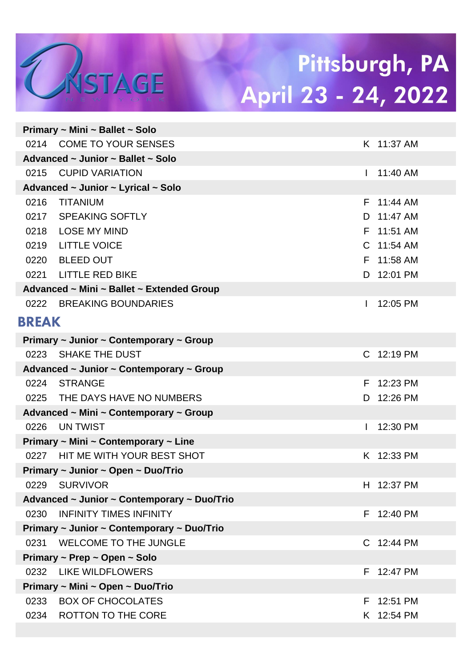|              | Primary $\sim$ Mini $\sim$ Ballet $\sim$ 5010 |              |            |
|--------------|-----------------------------------------------|--------------|------------|
|              | 0214 COME TO YOUR SENSES                      |              | K 11:37 AM |
|              | Advanced ~ Junior ~ Ballet ~ Solo             |              |            |
| 0215         | <b>CUPID VARIATION</b>                        |              | 11:40 AM   |
|              | Advanced ~ Junior ~ Lyrical ~ Solo            |              |            |
| 0216         | <b>TITANIUM</b>                               |              | F 11:44 AM |
|              | 0217 SPEAKING SOFTLY                          |              | D 11:47 AM |
| 0218         | <b>LOSE MY MIND</b>                           |              | F 11:51 AM |
| 0219         | <b>LITTLE VOICE</b>                           |              | C 11:54 AM |
|              | 0220 BLEED OUT                                |              | F 11:58 AM |
|              | 0221 LITTLE RED BIKE                          |              | D 12:01 PM |
|              | Advanced ~ Mini ~ Ballet ~ Extended Group     |              |            |
|              | 0222 BREAKING BOUNDARIES                      | $\mathbf{I}$ | 12:05 PM   |
| <b>BREAK</b> |                                               |              |            |
|              | Primary ~ Junior ~ Contemporary ~ Group       |              |            |
|              | 0223 SHAKE THE DUST                           |              | C 12:19 PM |
|              | Advanced ~ Junior ~ Contemporary ~ Group      |              |            |
|              | 0224 STRANGE                                  |              | F 12:23 PM |
|              | 0225 THE DAYS HAVE NO NUMBERS                 | D.           | 12:26 PM   |
|              | Advanced ~ Mini ~ Contemporary ~ Group        |              |            |
| 0226         | UN TWIST                                      | $\mathbf{I}$ | 12:30 PM   |
|              | Primary ~ Mini ~ Contemporary ~ Line          |              |            |
|              | 0227 HIT ME WITH YOUR BEST SHOT               |              | K 12:33 PM |
|              | Primary ~ Junior ~ Open ~ Duo/Trio            |              |            |
|              | 0229 SURVIVOR                                 |              | H 12:37 PM |
|              | Advanced ~ Junior ~ Contemporary ~ Duo/Trio   |              |            |
| 0230         | <b>INFINITY TIMES INFINITY</b>                |              | F 12:40 PM |
|              | Primary ~ Junior ~ Contemporary ~ Duo/Trio    |              |            |
| 0231         | <b>WELCOME TO THE JUNGLE</b>                  |              | C 12:44 PM |
|              | Primary ~ Prep ~ Open ~ Solo                  |              |            |
| 0232         | <b>LIKE WILDFLOWERS</b>                       |              | F 12:47 PM |
|              | Primary ~ Mini ~ Open ~ Duo/Trio              |              |            |
| 0233         | <b>BOX OF CHOCOLATES</b>                      |              | F 12:51 PM |
| 0234         | ROTTON TO THE CORE                            |              | K 12:54 PM |
|              |                                               |              |            |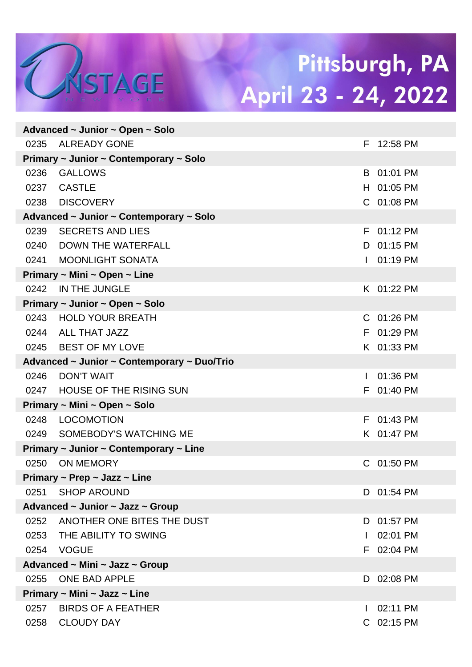|                                        | Advanced $\sim$ Junior $\sim$ Open $\sim$ Solo        |   |            |  |  |
|----------------------------------------|-------------------------------------------------------|---|------------|--|--|
| 0235                                   | ALREADY GONE                                          |   | F 12:58 PM |  |  |
| Primary ~ Junior ~ Contemporary ~ Solo |                                                       |   |            |  |  |
| 0236                                   | <b>GALLOWS</b>                                        |   | B 01:01 PM |  |  |
| 0237                                   | <b>CASTLE</b>                                         |   | H 01:05 PM |  |  |
| 0238                                   | <b>DISCOVERY</b>                                      |   | C 01:08 PM |  |  |
|                                        | Advanced ~ Junior ~ Contemporary ~ Solo               |   |            |  |  |
| 0239                                   | <b>SECRETS AND LIES</b>                               |   | F 01:12 PM |  |  |
| 0240                                   | DOWN THE WATERFALL                                    |   | D 01:15 PM |  |  |
| 0241                                   | <b>MOONLIGHT SONATA</b>                               |   | 01:19 PM   |  |  |
|                                        | Primary ~ Mini ~ Open ~ Line                          |   |            |  |  |
| 0242                                   | IN THE JUNGLE                                         |   | K 01:22 PM |  |  |
|                                        | Primary ~ Junior ~ Open ~ Solo                        |   |            |  |  |
| 0243                                   | <b>HOLD YOUR BREATH</b>                               |   | C 01:26 PM |  |  |
|                                        | 0244 ALL THAT JAZZ                                    |   | F 01:29 PM |  |  |
|                                        | 0245 BEST OF MY LOVE                                  |   | K 01:33 PM |  |  |
|                                        | Advanced ~ Junior ~ Contemporary ~ Duo/Trio           |   |            |  |  |
| 0246                                   | <b>DON'T WAIT</b>                                     |   | 01:36 PM   |  |  |
| 0247                                   | <b>HOUSE OF THE RISING SUN</b>                        |   | F 01:40 PM |  |  |
|                                        | Primary ~ Mini ~ Open ~ Solo                          |   |            |  |  |
| 0248                                   | LOCOMOTION                                            |   | F 01:43 PM |  |  |
| 0249                                   | SOMEBODY'S WATCHING ME                                |   | K 01:47 PM |  |  |
|                                        | Primary $\sim$ Junior $\sim$ Contemporary $\sim$ Line |   |            |  |  |
| 0250                                   | <b>ON MEMORY</b>                                      |   | C 01:50 PM |  |  |
|                                        | Primary $\sim$ Prep $\sim$ Jazz $\sim$ Line           |   |            |  |  |
| 0251                                   | <b>SHOP AROUND</b>                                    |   | D 01:54 PM |  |  |
|                                        | Advanced ~ Junior ~ Jazz ~ Group                      |   |            |  |  |
|                                        | 0252 ANOTHER ONE BITES THE DUST                       |   | D 01:57 PM |  |  |
|                                        | 0253 THE ABILITY TO SWING                             |   | 02:01 PM   |  |  |
| 0254                                   | <b>VOGUE</b>                                          |   | F 02:04 PM |  |  |
|                                        | Advanced ~ Mini ~ Jazz ~ Group                        |   |            |  |  |
| 0255                                   | <b>ONE BAD APPLE</b>                                  | D | 02:08 PM   |  |  |
|                                        | Primary ~ Mini ~ Jazz ~ Line                          |   |            |  |  |
| 0257                                   | <b>BIRDS OF A FEATHER</b>                             |   | 02:11 PM   |  |  |
| 0258                                   | <b>CLOUDY DAY</b>                                     |   | C 02:15 PM |  |  |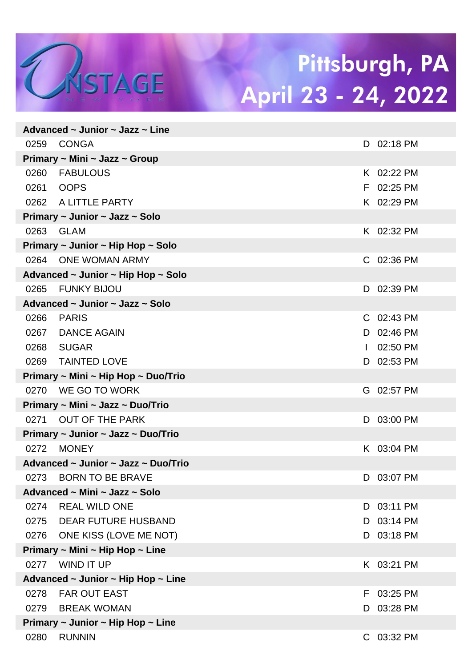|                                                  | Advanced $\sim$ Junior $\sim$ Jazz $\sim$ Line |              |            |  |  |
|--------------------------------------------------|------------------------------------------------|--------------|------------|--|--|
| 0259                                             | CONGA                                          |              | D 02:18 PM |  |  |
| Primary ~ Mini ~ Jazz ~ Group                    |                                                |              |            |  |  |
| 0260                                             | <b>FABULOUS</b>                                |              | K 02:22 PM |  |  |
| 0261                                             | <b>OOPS</b>                                    |              | F 02:25 PM |  |  |
|                                                  | 0262 A LITTLE PARTY                            |              | K 02:29 PM |  |  |
| Primary ~ Junior ~ Jazz ~ Solo                   |                                                |              |            |  |  |
|                                                  | 0263 GLAM                                      |              | K 02:32 PM |  |  |
| Primary $\sim$ Junior $\sim$ Hip Hop $\sim$ Solo |                                                |              |            |  |  |
|                                                  | 0264 ONE WOMAN ARMY                            |              | C 02:36 PM |  |  |
| Advanced ~ Junior ~ Hip Hop ~ Solo               |                                                |              |            |  |  |
| 0265                                             | <b>FUNKY BIJOU</b>                             |              | D 02:39 PM |  |  |
| Advanced ~ Junior ~ Jazz ~ Solo                  |                                                |              |            |  |  |
| 0266                                             | <b>PARIS</b>                                   |              | C 02:43 PM |  |  |
| 0267                                             | <b>DANCE AGAIN</b>                             |              | D 02:46 PM |  |  |
| 0268                                             | SUGAR                                          | $\mathbf{L}$ | 02:50 PM   |  |  |
| 0269                                             | <b>TAINTED LOVE</b>                            |              | D 02:53 PM |  |  |
| Primary ~ Mini ~ Hip Hop ~ Duo/Trio              |                                                |              |            |  |  |
|                                                  | 0270 WE GO TO WORK                             |              | G 02:57 PM |  |  |
| Primary ~ Mini ~ Jazz ~ Duo/Trio                 |                                                |              |            |  |  |
|                                                  | 0271 OUT OF THE PARK                           |              | D 03:00 PM |  |  |
| Primary ~ Junior ~ Jazz ~ Duo/Trio               |                                                |              |            |  |  |
| 0272                                             | <b>MONEY</b>                                   |              | K 03:04 PM |  |  |
| Advanced ~ Junior ~ Jazz ~ Duo/Trio              |                                                |              |            |  |  |
|                                                  | 0273 BORN TO BE BRAVE                          |              | D 03:07 PM |  |  |
| Advanced ~ Mini ~ Jazz ~ Solo                    |                                                |              |            |  |  |
| 0274                                             | <b>REAL WILD ONE</b>                           | D.           | 03:11 PM   |  |  |
| 0275                                             | DEAR FUTURE HUSBAND                            | D            | 03:14 PM   |  |  |
| 0276                                             | ONE KISS (LOVE ME NOT)                         | D.           | 03:18 PM   |  |  |
| Primary ~ Mini ~ Hip Hop ~ Line                  |                                                |              |            |  |  |
| 0277                                             | <b>WIND IT UP</b>                              |              | K 03:21 PM |  |  |
| Advanced ~ Junior ~ Hip Hop ~ Line               |                                                |              |            |  |  |
| 0278                                             | <b>FAR OUT EAST</b>                            | F.           | 03:25 PM   |  |  |
| 0279                                             | BREAK WOMAN                                    | D            | 03:28 PM   |  |  |
| Primary $\sim$ Junior $\sim$ Hip Hop $\sim$ Line |                                                |              |            |  |  |
| 0280                                             | <b>RUNNIN</b>                                  |              | C 03:32 PM |  |  |